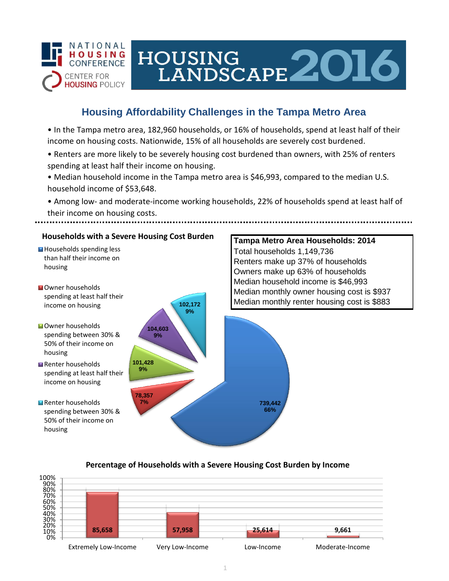

# HOUSING<br>LANDSCAPE 2016

## **Housing Affordability Challenges in the Tampa Metro Area**

• In the Tampa metro area, 182,960 households, or 16% of households, spend at least half of their income on housing costs. Nationwide, 15% of all households are severely cost burdened.

- Renters are more likely to be severely housing cost burdened than owners, with 25% of renters spending at least half their income on housing.
- Median household income in the Tampa metro area is \$46,993, compared to the median U.S. household income of \$53,648.
- Among low- and moderate-income working households, 22% of households spend at least half of their income on housing costs.



### **Percentage of Households with a Severe Housing Cost Burden by Income**